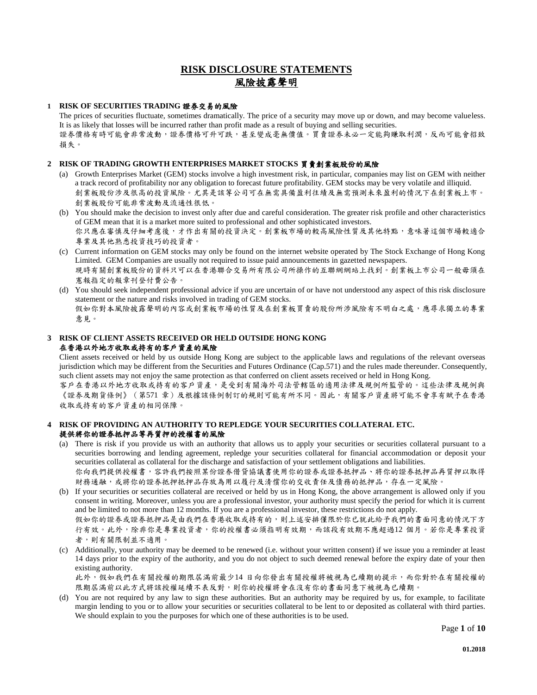# **RISK DISCLOSURE STATEMENTS** 風險披露聲明

## **1 RISK OF SECURITIES TRADING** 證券交易的風險

The prices of securities fluctuate, sometimes dramatically. The price of a security may move up or down, and may become valueless. It is as likely that losses will be incurred rather than profit made as a result of buying and selling securities. 證券價格有時可能會非常波動,證券價格可升可跌,甚至變成毫無價值。買賣證券未必一定能夠賺取利潤,反而可能會招致 損失。

## **2 RISK OF TRADING GROWTH ENTERPRISES MARKET STOCKS** 買賣創業板股份的風險

- (a) Growth Enterprises Market (GEM) stocks involve a high investment risk, in particular, companies may list on GEM with neither a track record of profitability nor any obligation to forecast future profitability. GEM stocks may be very volatile and illiquid. 創業板股份涉及很高的投資風險。尤其是該等公司可在無需具備盈利往績及無需預測未來盈利的情況下在創業板上市。 創業板股份可能非常波動及流通性很低。
- (b) You should make the decision to invest only after due and careful consideration. The greater risk profile and other characteristics of GEM mean that it is a market more suited to professional and other sophisticated investors. 你只應在審慎及仔細考慮後,才作出有關的投資決定。創業板市場的較高風險性質及其他特點,意味著這個市場較適合 專業及其他熟悉投資技巧的投資者。
- (c) Current information on GEM stocks may only be found on the internet website operated by The Stock Exchange of Hong Kong Limited. GEM Companies are usually not required to issue paid announcements in gazetted newspapers. 現時有關創業板股份的資料只可以在香港聯合交易所有限公司所操作的互聯網網站上找到。創業板上市公司一般毋須在 憲報指定的報章刊登付費公告。
- (d) You should seek independent professional advice if you are uncertain of or have not understood any aspect of this risk disclosure statement or the nature and risks involved in trading of GEM stocks. 假如你對本風險披露聲明的內容或創業板市場的性質及在創業板買賣的股份所涉風險有不明白之處,應尋求獨立的專業 意見。

### **3 RISK OF CLIENT ASSETS RECEIVED OR HELD OUTSIDE HONG KONG**  在香港以外地方收取或持有的客戶資產的風險

Client assets received or held by us outside Hong Kong are subject to the applicable laws and regulations of the relevant overseas jurisdiction which may be different from the Securities and Futures Ordinance (Cap.571) and the rules made thereunder. Consequently, such client assets may not enjoy the same protection as that conferred on client assets received or held in Hong Kong.

客戶在香港以外地方收取或持有的客戶資產,是受到有關海外司法管轄區的適用法律及規例所監管的。這些法律及規例與 《證券及期貨條例》(第571 章)及根據該條例制訂的規則可能有所不同。因此,有關客戶資產將可能不會享有賦予在香港 收取或持有的客戶資產的相同保障。

# **4 RISK OF PROVIDING AN AUTHORITY TO REPLEDGE YOUR SECURITIES COLLATERAL ETC.**  提供將你的證券抵押品等再質押的授權書的風險

(a) There is risk if you provide us with an authority that allows us to apply your securities or securities collateral pursuant to a securities borrowing and lending agreement, repledge your securities collateral for financial accommodation or deposit your securities collateral as collateral for the discharge and satisfaction of your settlement obligations and liabilities. 你向我們提供授權書,容許我們按照某份證券借貸協議書使用你的證券或證券抵押品、將你的證券抵押品再質押以取得

財務通融,或將你的證券抵押抵押品存放為用以履行及清償你的交收責任及債務的抵押品,存在一定風險。

(b) If your securities or securities collateral are received or held by us in Hong Kong, the above arrangement is allowed only if you consent in writing. Moreover, unless you are a professional investor, your authority must specify the period for which it is current and be limited to not more than 12 months. If you are a professional investor, these restrictions do not apply. 假如你的證券或證券抵押品是由我們在香港收取或持有的,則上述安排僅限於你已就此給予我們的書面同意的情況下方

行有效。此外,除非你是專業投資者,你的授權書必須指明有效期,而該段有效期不應超過12 個月。若你是專業投資 者,則有關限制並不適用。

(c) Additionally, your authority may be deemed to be renewed (i.e. without your written consent) if we issue you a reminder at least 14 days prior to the expiry of the authority, and you do not object to such deemed renewal before the expiry date of your then existing authority.

此外,假如我們在有關授權的期限屆滿前最少14 日向你發出有關授權將被視為已續期的提示,而你對於在有關授權的 限期屆滿前以此方式將該授權延續不表反對,則你的授權將會在沒有你的書面同意下被視為已續期。

(d) You are not required by any law to sign these authorities. But an authority may be required by us, for example, to facilitate margin lending to you or to allow your securities or securities collateral to be lent to or deposited as collateral with third parties. We should explain to you the purposes for which one of these authorities is to be used.

Page **1** of **10**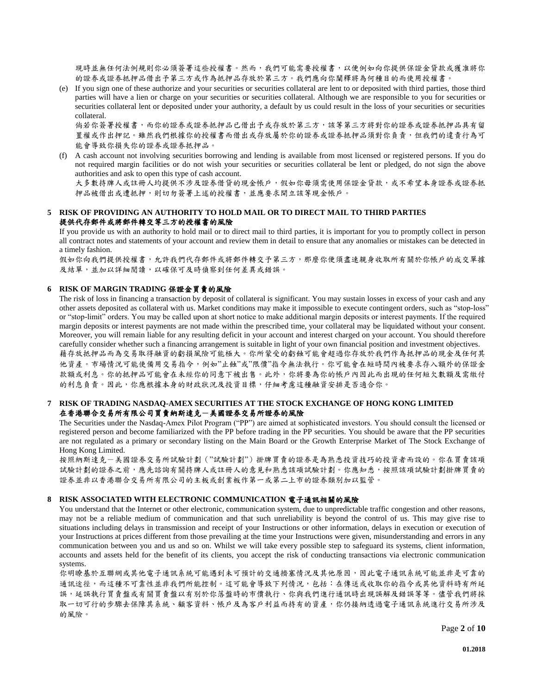現時並無任何法例規則你必須簽署這些授權書。然而,我們可能需要授權書,以便例如向你提供保證金貸款或獲准將你 的證券或證券抵押品借出予第三方或作為抵押品存放於第三方。我們應向你闡釋將為何種目的而使用授權書。

(e) If you sign one of these authorize and your securities or securities collateral are lent to or deposited with third parties, those third parties will have a lien or charge on your securities or securities collateral. Although we are responsible to you for securities or securities collateral lent or deposited under your authority, a default by us could result in the loss of your securities or securities collateral.

倘若你簽署授權書,而你的證券或證券抵押品已借出予或存放於第三方,該等第三方將對你的證券或證券抵押品具有留 置權或作出押記。雖然我們根據你的授權書而借出或存放屬於你的證券或證券抵押品須對你負責,但我們的違責行為可 能會導致你損失你的證券或證券抵押品。

(f) A cash account not involving securities borrowing and lending is available from most licensed or registered persons. If you do not required margin facilities or do not wish your securities or securities collateral be lent or pledged, do not sign the above authorities and ask to open this type of cash account.

大多數持牌人或註冊人均提供不涉及證券借貸的現金帳戶,假如你毋須需使用保證金貸款,或不希望本身證券或證券抵 押品被借出或遭抵押,則切勿簽署上述的授權書,並應要求開立該等現金帳戶。

# **5 RISK OF PROVIDING AN AUTHORITY TO HOLD MAIL OR TO DIRECT MAIL TO THIRD PARTIES**  提供代存郵件或將郵件轉交等三方的授權書的風險

If you provide us with an authority to hold mail or to direct mail to third parties, it is important for you to promptly collect in person all contract notes and statements of your account and review them in detail to ensure that any anomalies or mistakes can be detected in a timely fashion.

假如你向我們提供授權書,允許我們代存郵件或將郵件轉交予第三方,那麼你便須盡速親身收取所有關於你帳戶的成交單據 及結單,並加以詳細閱讀,以確保可及時偵察到任何差異或錯誤。

#### **6 RISK OF MARGIN TRADING** 保證金買賣的風險

The risk of loss in financing a transaction by deposit of collateral is significant. You may sustain losses in excess of your cash and any other assets deposited as collateral with us. Market conditions may make it impossible to execute contingent orders, such as "stop-loss" or "stop-limit" orders. You may be called upon at short notice to make additional margin deposits or interest payments. If the required margin deposits or interest payments are not made within the prescribed time, your collateral may be liquidated without your consent. Moreover, you will remain liable for any resulting deficit in your account and interest charged on your account. You should therefore carefully consider whether such a financing arrangement is suitable in light of your own financial position and investment objectives. 藉存放抵押品而為交易取得融資的虧損風險可能極大。你所蒙受的虧蝕可能會超過你存放於我們作為抵押品的現金及任何其 他資產。市場情況可能使備用交易指令,例如"止蝕"或"限價"指令無法執行。你可能會在短時間內被要求存入額外的保證金 款額或利息。你的抵押品可能會在未經你的同意下被出售。此外,你將要為你的帳戶內因此而出現的任何短欠數額及需繳付 的利息負責。因此,你應根據本身的財政狀況及投資目標,仔細考慮這種融資安排是否適合你。

## **7 RISK OF TRADING NASDAQ-AMEX SECURITIES AT THE STOCK EXCHANGE OF HONG KONG LIMITED**  在香港聯合交易所有限公司買賣納斯達克一美國證券交易所證券的風險

The Securities under the Nasdaq-Amex Pilot Program ("PP") are aimed at sophisticated investors. You should consult the licensed or registered person and become familiarized with the PP before trading in the PP securities. You should be aware that the PP securities are not regulated as a primary or secondary listing on the Main Board or the Growth Enterprise Market of The Stock Exchange of Hong Kong Limited.

按照納斯達克一美國證券交易所試驗計劃("試驗計劃")掛牌買賣的證券是為熟悉投資技巧的投資者而設的。你在買賣該項 試驗計劃的證券之前,應先諮詢有關持牌人或註冊人的意見和熟悉該項試驗計劃。你應知悉,按照該項試驗計劃掛牌買賣的 證券並非以香港聯合交易所有限公司的主板或創業板作第一或第二上市的證券類別加以監管。

#### **8 RISK ASSOCIATED WITH ELECTRONIC COMMUNICATION** 電子通訊相關的風險

You understand that the Internet or other electronic, communication system, due to unpredictable traffic congestion and other reasons, may not be a reliable medium of communication and that such unreliability is beyond the control of us. This may give rise to situations including delays in transmission and receipt of your Instructions or other information, delays in execution or execution of your Instructions at prices different from those prevailing at the time your Instructions were given, misunderstanding and errors in any communication between you and us and so on. Whilst we will take every possible step to safeguard its systems, client information, accounts and assets held for the benefit of its clients, you accept the risk of conducting transactions via electronic communication systems.

你明瞭基於互聯網或其他電子通訊系統可能遇到未可預計的交通擠塞情況及其他原因,因此電子通訊系統可能並非是可靠的 通訊途徑,而這種不可靠性並非我們所能控制。這可能會導致下列情況,包括:在傳送或收取你的指令或其他資料時有所延 誤,延誤執行買賣盤或有關買賣盤以有別於你落盤時的市價執行、你與我們進行通訊時出現誤解及錯誤等等。儘管我們將採 取一切可行的步驟去保障其系統、顧客資料、帳戶及為客戶利益而持有的資產,你仍接納透過電子通訊系統進行交易所涉及 的風險。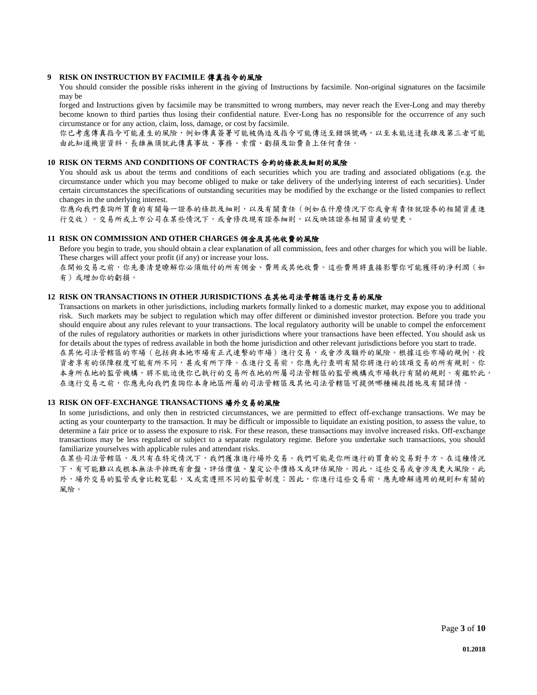#### **9 RISK ON INSTRUCTION BY FACIMILE** 傳真指令的風險

You should consider the possible risks inherent in the giving of Instructions by facsimile. Non-original signatures on the facsimile may be

forged and Instructions given by facsimile may be transmitted to wrong numbers, may never reach the Ever-Long and may thereby become known to third parties thus losing their confidential nature. Ever-Long has no responsible for the occurrence of any such circumstance or for any action, claim, loss, damage, or cost by facsimile.

你已考慮傳真指令可能產生的風險,例如傳真簽署可能被偽造及指令可能傳送至錯誤號碼,以至未能送達長雄及第三者可能 由此知道機密資料,長雄無須就此傳真事故、事務、索償、虧損及訟費負上任何責任。

#### **10 RISK ON TERMS AND CONDITIONS OF CONTRACTS** 合約的條款及細則的風險

You should ask us about the terms and conditions of each securities which you are trading and associated obligations (e.g. the circumstance under which you may become obliged to make or take delivery of the underlying interest of each securities). Under certain circumstances the specifications of outstanding securities may be modified by the exchange or the listed companies to reflect changes in the underlying interest.

你應向我們查詢所買賣的有關每一證券的條款及細則,以及有關責任(例如在什麼情況下你或會有責任就證券的相關資產進 行交收)。交易所或上市公司在某些情況下,或會修改現有證券細則,以反映該證券相關資產的變更。

# **11 RISK ON COMMISSION AND OTHER CHARGES** 佣金及其他收費的風險

Before you begin to trade, you should obtain a clear explanation of all commission, fees and other charges for which you will be liable. These charges will affect your profit (if any) or increase your loss.

在開始交易之前,你先要清楚瞭解你必須繳付的所有佣金、費用或其他收費。這些費用將直接影響你可能獲得的淨利潤(如 有)或增加你的虧損。

# **12 RISK ON TRANSACTIONS IN OTHER JURISDICTIONS** 在其他司法管轄區進行交易的風險

Transactions on markets in other jurisdictions, including markets formally linked to a domestic market, may expose you to additional risk. Such markets may be subject to regulation which may offer different or diminished investor protection. Before you trade you should enquire about any rules relevant to your transactions. The local regulatory authority will be unable to compel the enforcement of the rules of regulatory authorities or markets in other jurisdictions where your transactions have been effected. You should ask us for details about the types of redress available in both the home jurisdiction and other relevant jurisdictions before you start to trade. 在其他司法管轄區的市場(包括與本地市場有正式連繫的市場)進行交易,或會涉及額外的風險。根據這些市場的規例,投 資者享有的保障程度可能有所不同,甚或有所下降。在進行交易前,你應先行查明有關你將進行的該項交易的所有規則。你 本身所在地的監管機構,將不能迫使你已執行的交易所在地的所屬司法管轄區的監管機構或市場執行有關的規則。有鑑於此, 在進行交易之前,你應先向我們查詢你本身地區所屬的司法管轄區及其他司法管轄區可提供哪種補救措施及有關詳情。

#### **13 RISK ON OFF-EXCHANGE TRANSACTIONS** 場外交易的風險

In some jurisdictions, and only then in restricted circumstances, we are permitted to effect off-exchange transactions. We may be acting as your counterparty to the transaction. It may be difficult or impossible to liquidate an existing position, to assess the value, to determine a fair price or to assess the exposure to risk. For these reason, these transactions may involve increased risks. Off-exchange transactions may be less regulated or subject to a separate regulatory regime. Before you undertake such transactions, you should familiarize yourselves with applicable rules and attendant risks.

在某些司法管轄區,及只有在特定情況下,我們獲准進行場外交易。我們可能是你所進行的買賣的交易對手方。在這種情況 下,有可能難以或根本無法平掉既有倉盤、評估價值、釐定公平價格又或評估風險。因此,這些交易或會涉及更大風險。此 外,場外交易的監管或會比較寬鬆,又或需遵照不同的監管制度;因此,你進行這些交易前,應先瞭解適用的規則和有關的 風險。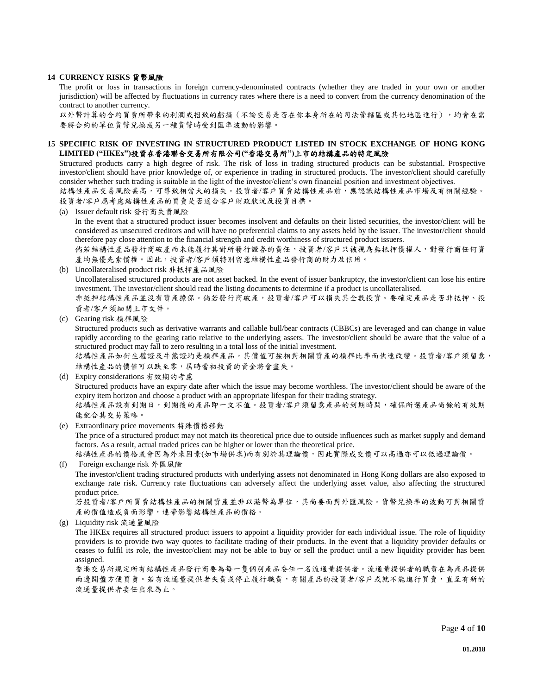### **14 CURRENCY RISKS** 貨幣風險

The profit or loss in transactions in foreign currency-denominated contracts (whether they are traded in your own or another jurisdiction) will be affected by fluctuations in currency rates where there is a need to convert from the currency denomination of the contract to another currency.

以外幣計算的合約買賣所帶來的利潤或招致的虧損(不論交易是否在你本身所在的司法管轄區或其他地區進行),均會在需 要將合約的單位貨幣兌換成另一種貨幣時受到匯率波動的影響。

# **15 SPECIFIC RISK OF INVESTING IN STRUCTURED PRODUCT LISTED IN STOCK EXCHANGE OF HONG KONG LIMITED ("HKEx")**投資在香港聯合交易所有限公司**("**香港交易所**")**上市的結構產品的特定風險

Structured products carry a high degree of risk. The risk of loss in trading structured products can be substantial. Prospective investor/client should have prior knowledge of, or experience in trading in structured products. The investor/client should carefully consider whether such trading is suitable in the light of the investor/client's own financial position and investment objectives.

結構性產品交易風險甚高,可導致相當大的損失。投資者/客戶買賣結構性產品前,應認識結構性產品市場及有相關經驗。 投資者/客戶應考慮結構性產品的買賣是否適合客戶財政狀況及投資目標。

(a) Issuer default risk 發行商失責風險

In the event that a structured product issuer becomes insolvent and defaults on their listed securities, the investor/client will be considered as unsecured creditors and will have no preferential claims to any assets held by the issuer. The investor/client should therefore pay close attention to the financial strength and credit worthiness of structured product issuers.

倘若結構性產品發行商破產而未能履行其對所發行證券的責任,投資者/客戶只被視為無抵押債權人,對發行商任何資 產均無優先索償權。因此,投資者/客戶須特別留意結構性產品發行商的財力及信用。

(b) Uncollateralised product risk 非抵押產品風險

Uncollateralised structured products are not asset backed. In the event of issuer bankruptcy, the investor/client can lose his entire investment. The investor/client should read the listing documents to determine if a product is uncollateralised.

非抵押結構性產品並沒有資產擔保。倘若發行商破產,投資者/客戶可以損失其全數投資。要確定產品是否非抵押、投 資者/客戶須細閱上市文件。

(c) Gearing risk 槓桿風險

Structured products such as derivative warrants and callable bull/bear contracts (CBBCs) are leveraged and can change in value rapidly according to the gearing ratio relative to the underlying assets. The investor/client should be aware that the value of a structured product may fall to zero resulting in a total loss of the initial investment.

結構性產品如衍生權證及牛熊證均是槓桿產品,其價值可按相對相關資產的槓桿比率而快速改變。投資者/客戶須留意, 結構性產品的價值可以趺至零,屆時當初投資的資金將會盡失。

```
(d) Expiry considerations 有效期的考慮
Structured products have an expiry date after which the issue may become worthless. The investor/client should be aware of the
expiry item horizon and choose a product with an appropriate lifespan for their trading strategy.
結構性產品設有到期日,到期後的產品即一文不值。投資者/客戶須留意產品的到期時間,確保所選產品尚餘的有效期
能配合其交易策略。
```
- (e) Extraordinary price movements 特殊價格移動 The price of a structured product may not match its theoretical price due to outside influences such as market supply and demand factors. As a result, actual traded prices can be higher or lower than the theoretical price. 結構性產品的價格或會因為外來因素(如市場供求)而有別於其理論價,因此實際成交價可以高過亦可以低過理論價。
- (f) Foreign exchange risk 外匯風險

The investor/client trading structured products with underlying assets not denominated in Hong Kong dollars are also exposed to exchange rate risk. Currency rate fluctuations can adversely affect the underlying asset value, also affecting the structured product price.

若投資者/客戶所買賣結構性產品的相關資產並非以港幣為單位,其尚要面對外匯風險。貨幣兌換率的波動可對相關資 產的價值造成負面影響,連帶影響結構性產品的價格。

(g) Liquidity risk 流通量風險

The HKEx requires all structured product issuers to appoint a liquidity provider for each individual issue. The role of liquidity providers is to provide two way quotes to facilitate trading of their products. In the event that a liquidity provider defaults or ceases to fulfil its role, the investor/client may not be able to buy or sell the product until a new liquidity provider has been assigned.

香港交易所規定所有結構性產品發行商要為每一隻個別產品委任一名流通量提供者。流通量提供者的職責在為產品提供 兩邊開盤方便買賣。若有流通量提供者失責或停止履行職責,有關產品的投資者/客戶或就不能進行買賣,直至有新的 流通量提供者委任出來為止。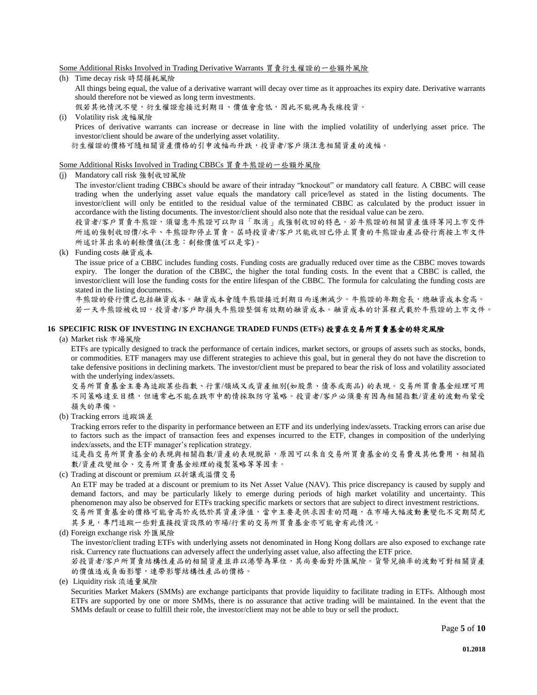#### Some Additional Risks Involved in Trading Derivative Warrants 買賣衍生權證的一些額外風險

- (h) Time decay risk 時間損耗風險 All things being equal, the value of a derivative warrant will decay over time as it approaches its expiry date. Derivative warrants should therefore not be viewed as long term investments. 假若其他情況不變,衍生權證愈接近到期日、價值會愈低,因此不能視為長線投資。
- (i) Volatility risk 波幅風險 Prices of derivative warrants can increase or decrease in line with the implied volatility of underlying asset price. The investor/client should be aware of the underlying asset volatility. 衍生權證的價格可隨相關資產價格的引申波幅而升跌,投資者/客戶須注意相關資產的波幅。

#### Some Additional Risks Involved in Trading CBBCs 買賣牛熊證的一些額外風險

(j) Mandatory call risk 強制收回風險

The investor/client trading CBBCs should be aware of their intraday "knockout" or mandatory call feature. A CBBC will cease trading when the underlying asset value equals the mandatory call price/level as stated in the listing documents. The investor/client will only be entitled to the residual value of the terminated CBBC as calculated by the product issuer in accordance with the listing documents. The investor/client should also note that the residual value can be zero.

投資者/客戶買賣牛熊證,須留意牛熊證可以即日「取消」或強制收回的特色。若牛熊證的相關資產值得等同上市交件 所述的強制收回價/水平、牛熊證即停止買賣。屆時投資者/客戶只能收回已停止買賣的牛熊證由產品發行商按上市文件 所述計算出來的剩餘價值(注意:剩餘價值可以是零)。

(k) Funding costs 融資成本

The issue price of a CBBC includes funding costs. Funding costs are gradually reduced over time as the CBBC moves towards expiry. The longer the duration of the CBBC, the higher the total funding costs. In the event that a CBBC is called, the investor/client will lose the funding costs for the entire lifespan of the CBBC. The formula for calculating the funding costs are stated in the listing documents.

牛熊證的發行價己包括融資成本。融資成本會隨牛熊證接近到期日而遂漸減少。牛熊證的年期愈長,總融資成本愈高。 若一天牛熊證被收回,投資者/客戶即損失牛熊證整個有效期的融資成本。融資成本的計算程式載於牛熊證的上市文件。

# **16 SPECIFIC RISK OF INVESTING IN EXCHANGE TRADED FUNDS (ETFs)** 投資在交易所買賣基金的特定風險

## (a) Market risk 市場風險

ETFs are typically designed to track the performance of certain indices, market sectors, or groups of assets such as stocks, bonds, or commodities. ETF managers may use different strategies to achieve this goal, but in general they do not have the discretion to take defensive positions in declining markets. The investor/client must be prepared to bear the risk of loss and volatility associated with the underlying index/assets.

交易所買賣基金主要為追蹤某些指數、行業/領域又或資產組別(如股票、債券或商品) 的表現。交易所買賣基金經理可用 不同策略達至目標,但通常也不能在跌市中酌情採取防守策略。投資者/客戶必須要有因為相關指數/資產的波動而蒙受 損失的準備。

(b) Tracking errors 追蹤誤差

Tracking errors refer to the disparity in performance between an ETF and its underlying index/assets. Tracking errors can arise due to factors such as the impact of transaction fees and expenses incurred to the ETF, changes in composition of the underlying index/assets, and the ETF manager's replication strategy.

這是指交易所買賣基金的表現與相關指數/資產的表現脫節,原因可以來自交易所買賣基金的交易費及其他費用、相關指 數/資產改變組合、交易所買賣基金經理的複製策略等等因素。

(c) Trading at discount or premium 以折讓或溢價交易

An ETF may be traded at a discount or premium to its Net Asset Value (NAV). This price discrepancy is caused by supply and demand factors, and may be particularly likely to emerge during periods of high market volatility and uncertainty. This phenomenon may also be observed for ETFs tracking specific markets or sectors that are subject to direct investment restrictions. 交易所買賣基金的價格可能會高於或低於其資產淨值,當中主要是供求因素的問題,在市場大幅波動兼變化不定期間尤

其多見,專門追蹤一些對直接投資設限的市場/行業的交易所買賣基金亦可能會有此情況。

(d) Foreign exchange risk 外匯風險

The investor/client trading ETFs with underlying assets not denominated in Hong Kong dollars are also exposed to exchange rate risk. Currency rate fluctuations can adversely affect the underlying asset value, also affecting the ETF price.

若投資者/客戶所買賣結構性產品的相關資產並非以港幣為單位,其尚要面對外匯風險。貨幣兌換率的波動可對相關資產 的價值造成負面影響,連帶影響結構性產品的價格。

(e) Liquidity risk 流通量風險

Securities Market Makers (SMMs) are exchange participants that provide liquidity to facilitate trading in ETFs. Although most ETFs are supported by one or more SMMs, there is no assurance that active trading will be maintained. In the event that the SMMs default or cease to fulfill their role, the investor/client may not be able to buy or sell the product.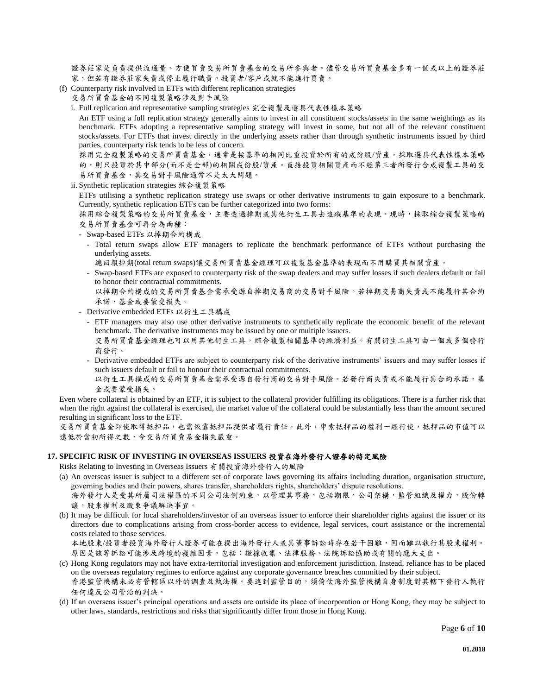證券莊家是負責提供流通量、方便買賣交易所買賣基金的交易所參與者。儘管交易所買賣基金多有一個或以上的證券莊 家,但若有證券莊家失責或停止履行職責,投資者/客戶或就不能進行買賣。

- (f) Counterparty risk involved in ETFs with different replication strategies
	- 交易所買賣基金的不同複製策略涉及對手風險
	- i. Full replication and representative sampling strategies 完全複製及選具代表性樣本策略

An ETF using a full replication strategy generally aims to invest in all constituent stocks/assets in the same weightings as its benchmark. ETFs adopting a representative sampling strategy will invest in some, but not all of the relevant constituent stocks/assets. For ETFs that invest directly in the underlying assets rather than through synthetic instruments issued by third parties, counterparty risk tends to be less of concern.

採用完全複製策略的交易所買賣基金,通常是按基準的相同比重投資於所有的成份股/資產。採取選具代表性樣本策略 的,則只投資於其中部分(而不是全部)的相關成份股/資產。直接投資相關資產而不經第三者所發行合成複製工具的交 易所買賣基金,其交易對手風險通常不是太大問題。

ii. Synthetic replication strategies 綜合複製策略

ETFs utilising a synthetic replication strategy use swaps or other derivative instruments to gain exposure to a benchmark. Currently, synthetic replication ETFs can be further categorized into two forms:

採用綜合複製策略的交易所買賣基金,主要透過掉期或其他衍生工具去追蹤基準的表現。現時,採取綜合複製策略的 交易所買賣基金可再分為兩種:

- Swap-based ETFs 以掉期合約構成
	- Total return swaps allow ETF managers to replicate the benchmark performance of ETFs without purchasing the underlying assets.
	- 總回報掉期(total return swaps)讓交易所買賣基金經理可以複製基金基準的表現而不用購買其相關資產。
	- Swap-based ETFs are exposed to counterparty risk of the swap dealers and may suffer losses if such dealers default or fail to honor their contractual commitments.
	- 以掉期合約構成的交易所買賣基金需承受源自掉期交易商的交易對手風險。若掉期交易商失責或不能履行其合約 承諾,基金或要蒙受損失。
- Derivative embedded ETFs 以衍生工具構成
	- ETF managers may also use other derivative instruments to synthetically replicate the economic benefit of the relevant benchmark. The derivative instruments may be issued by one or multiple issuers. 交易所買賣基金經理也可以用其他衍生工具,綜合複製相關基準的經濟利益。有關衍生工具可由一個或多個發行
	- 商發行。
	- Derivative embedded ETFs are subject to counterparty risk of the derivative instruments' issuers and may suffer losses if such issuers default or fail to honour their contractual commitments.
	- 以衍生工具構成的交易所貫賣基金需承受源自發行商的交易對手風險。若發行商失責或不能履行其合約承諾,基 金或要蒙受損失。

Even where collateral is obtained by an ETF, it is subject to the collateral provider fulfilling its obligations. There is a further risk that when the right against the collateral is exercised, the market value of the collateral could be substantially less than the amount secured resulting in significant loss to the ETF.

交易所買賣基金即使取得抵押品,也需依靠抵押品提供者履行責任。此外,申索抵押品的權利一經行使,抵押品的市值可以 遠低於當初所得之數,令交易所買賣基金損失嚴重。

#### **17. SPECIFIC RISK OF INVESTING IN OVERSEAS ISSUERS** 投資在海外發行人證券的特定風險

Risks Relating to Investing in Overseas Issuers 有關投資海外發行人的風險

- (a) An overseas issuer is subject to a different set of corporate laws governing its affairs including duration, organisation structure, governing bodies and their powers, shares transfer, shareholders rights, shareholders' dispute resolutions.
	- 海外發行人是受其所屬司法權區的不同公司法例約束,以管理其事務,包括期限,公司架構,監管組織及權力,股份轉 讓,股東權利及股東爭議解決事宜。
- (b) It may be difficult for local shareholders/investor of an overseas issuer to enforce their shareholder rights against the issuer or its directors due to complications arising from cross-border access to evidence, legal services, court assistance or the incremental costs related to those services.

本地股東/投資者投資海外發行人證券可能在提出海外發行人或其董事訴訟時存在若干困難,因而難以執行其股東權利。 原因是該等訴訟可能涉及跨境的複雜因素,包括:證據收集、法律服務、法院訴訟協助或有關的龐大支出。

- (c) Hong Kong regulators may not have extra-territorial investigation and enforcement jurisdiction. Instead, reliance has to be placed on the overseas regulatory regimes to enforce against any corporate governance breaches committed by their subject. 香港監管機構未必有管轄區以外的調查及執法權。要達到監管目的,須倚仗海外監管機構自身制度對其轄下發行人執行 任何違反公司管治的判決。
- (d) If an overseas issuer's principal operations and assets are outside its place of incorporation or Hong Kong, they may be subject to other laws, standards, restrictions and risks that significantly differ from those in Hong Kong.

Page **6** of **10**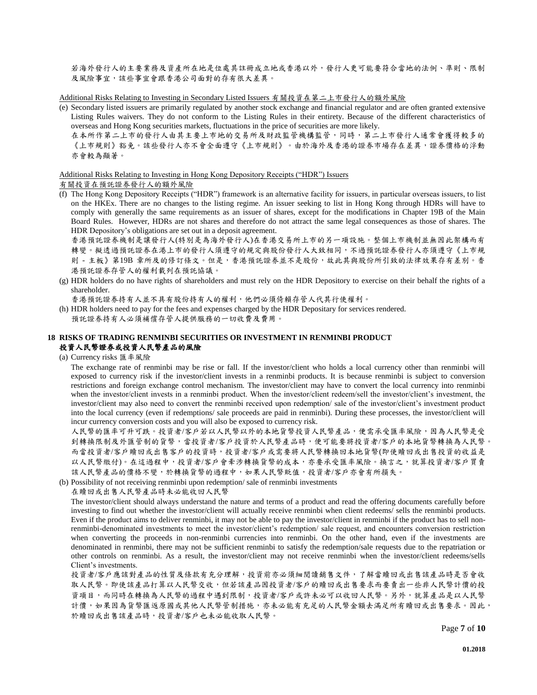若海外發行人的主要業務及資產所在地是位處其註冊成立地或香港以外,發行人更可能要符合當地的法例、準則、限制 及風險事宜,該些事宜會跟香港公司面對的存有很大差異。

Additional Risks Relating to Investing in Secondary Listed Issuers 有關投資在第二上市發行人的額外風險

(e) Secondary listed issuers are primarily regulated by another stock exchange and financial regulator and are often granted extensive Listing Rules waivers. They do not conform to the Listing Rules in their entirety. Because of the different characteristics of overseas and Hong Kong securities markets, fluctuations in the price of securities are more likely.

在本所作第二上市的發行人由其主要上市地的交易所及財政監管機構監管,同時,第二上市發行人通常會獲得較多的 《上市規則》豁免。該些發行人亦不會全面遵守《上市規則》。由於海外及香港的證券市場存在差異,證券價格的浮動 亦會較為顯著。

#### Additional Risks Relating to Investing in Hong Kong Depository Receipts ("HDR") Issuers

有關投資在預託證券發行人的額外風險

(f) The Hong Kong Depository Receipts ("HDR") framework is an alternative facility for issuers, in particular overseas issuers, to list on the HKEx. There are no changes to the listing regime. An issuer seeking to list in Hong Kong through HDRs will have to comply with generally the same requirements as an issuer of shares, except for the modifications in Chapter 19B of the Main Board Rules. However, HDRs are not shares and therefore do not attract the same legal consequences as those of shares. The HDR Depository's obligations are set out in a deposit agreement.

香港預託證券機制是讓發行人(特別是為海外發行人)在香港交易所上市的另一項設施。整個上市機制並無因此架構而有 轉變。擬透過預託證券在港上市的發行人須遵守的規定與股份發行人大致相同,不過預託證券發行人亦須遵守《上市規 則 - 主板》第19B 章所及的修訂條文。但是,香港預託證券並不是股份,故此其與股份所引致的法律效果存有差別。香 港預託證券存管人的權利載列在預託協議。

(g) HDR holders do no have rights of shareholders and must rely on the HDR Depository to exercise on their behalf the rights of a shareholder.

香港預託證券持有人並不具有股份持有人的權利,他們必須倚賴存管人代其行使權利。

(h) HDR holders need to pay for the fees and expenses charged by the HDR Depositary for services rendered. 預託證券持有人必須補償存管人提供服務的一切收費及費用。

# **18 RISKS OF TRADING RENMINBI SECURITIES OR INVESTMENT IN RENMINBI PRODUCT**  投資人民幣證券或投資人民幣產品的風險

(a) Currency risks 匯率風險

The exchange rate of renminbi may be rise or fall. If the investor/client who holds a local currency other than renminbi will exposed to currency risk if the investor/client invests in a renminbi products. It is because renminbi is subject to conversion restrictions and foreign exchange control mechanism. The investor/client may have to convert the local currency into renminbi when the investor/client invests in a renminbi product. When the investor/client redeem/sell the investor/client's investment, the investor/client may also need to convert the renminbi received upon redemption/ sale of the investor/client's investment product into the local currency (even if redemptions/ sale proceeds are paid in renminbi). During these processes, the investor/client will incur currency conversion costs and you will also be exposed to currency risk.

人民幣的匯率可升可跌。投資者/客戶若以人民幣以外的本地貨幣投資人民幣產品,便需承受匯率風險,因為人民幣是受 到轉換限制及外匯管制的貨幣,當投資者/客戶投資於人民幣產品時,便可能要將投資者/客戶的本地貨幣轉換為人民幣。 而當投資者/客戶贖回或出售客戶的投資時,投資者/客戶或需要將人民幣轉換回本地貨幣(即使贖回或出售投資的收益是 以人民幣繳付)。在這過程中,投資者/客戶會牽涉轉換貨幣的成本,亦要承受匯率風險。換言之,就算投資者/客戶買賣 該人民幣產品的價格不變,於轉換貨幣的過程中,如果人民幣貶值,投資者/客戶亦會有所損失。

(b) Possibility of not receiving renminbi upon redemption/ sale of renminbi investments

在贖回或出售人民幣產品時未必能收回人民幣

The investor/client should always understand the nature and terms of a product and read the offering documents carefully before investing to find out whether the investor/client will actually receive renminbi when client redeems/ sells the renminbi products. Even if the product aims to deliver renminbi, it may not be able to pay the investor/client in renminbi if the product has to sell nonrenminbi-denominated investments to meet the investor/client's redemption/ sale request, and encounters conversion restriction when converting the proceeds in non-renminbi currencies into renminbi. On the other hand, even if the investments are denominated in renminbi, there may not be sufficient renminbi to satisfy the redemption/sale requests due to the repatriation or other controls on renminbi. As a result, the investor/client may not receive renminbi when the investor/client redeems/sells Client's investments.

投資者/客戶應該對產品的性質及條款有充分理解,投資前亦必須細閱讀銷售文件,了解當贖回或出售該產品時是否會收 取人民幣。即使該產品打算以人民幣交收,但若該產品因投資者/客戶的贖回或出售要求而要賣出一些非人民幣計價的投 資項目,而同時在轉換為人民幣的過程中遇到限制,投資者/客戶或許未必可以收回人民幣。另外,就算產品是以人民幣 計價,如果因為貨幣匯返原國或其他人民幣管制措施,亦未必能有充足的人民幣金額去滿足所有贖回或出售要求。因此, 於贖回或出售該產品時,投資者/客戶也未必能收取人民幣。

Page **7** of **10**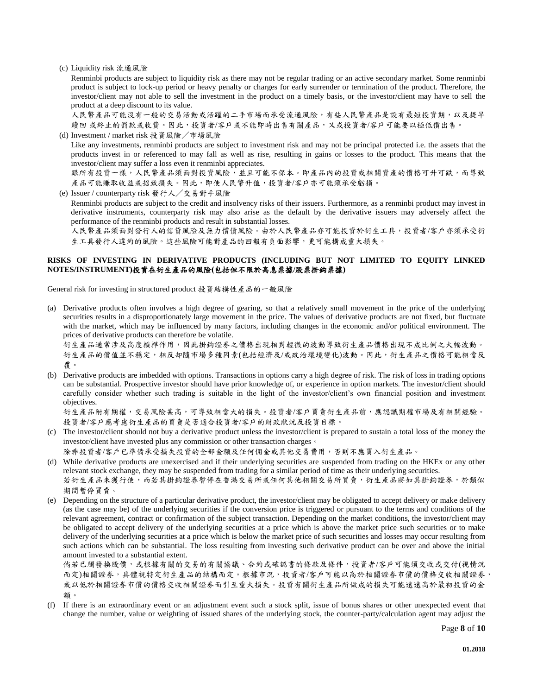(c) Liquidity risk 流通風險

Renminbi products are subject to liquidity risk as there may not be regular trading or an active secondary market. Some renminbi product is subject to lock-up period or heavy penalty or charges for early surrender or termination of the product. Therefore, the investor/client may not able to sell the investment in the product on a timely basis, or the investor/client may have to sell the product at a deep discount to its value.

人民幣產品可能沒有一般的交易活動或活躍的二手市場而承受流通風險,有些人民幣產品是設有最短投資期,以及提早 贖回 或終止的罰款或收費。因此,投資者/客戶或不能即時出售有關產品,又或投資者/客戶可能要以極低價出售。 (d) Investment / market risk 投資風險/市場風險

Like any investments, renminbi products are subject to investment risk and may not be principal protected i.e. the assets that the products invest in or referenced to may fall as well as rise, resulting in gains or losses to the product. This means that the investor/client may suffer a loss even it renminbi appreciates.

跟所有投資一樣,人民幣產品須面對投資風險,並且可能不保本。即產品內的投資或相關資產的價格可升可跌,而導致 產品可能賺取收益或招致損失。因此,即使人民幣升值,投資者/客戶亦可能須承受虧損。

(e) Issuer / counterparty risk 發行人/交易對手風險

Renminbi products are subject to the credit and insolvency risks of their issuers. Furthermore, as a renminbi product may invest in derivative instruments, counterparty risk may also arise as the default by the derivative issuers may adversely affect the performance of the renminbi products and result in substantial losses.

人民幣產品須面對發行人的信貸風險及無力償債風險。由於人民幣產品亦可能投資於衍生工具,投資者/客戶亦須承受衍 生工具發行人違約的風險。這些風險可能對產品的回報有負面影響,更可能構成重大損失。

# **RISKS OF INVESTING IN DERIVATIVE PRODUCTS (INCLUDING BUT NOT LIMITED TO EQUITY LINKED NOTES/INSTRUMENT)**投資在衍生產品的風險**(**包括但不限於高息票據**/**股票掛鈎票據**)**

General risk for investing in structured product 投資結構性產品的一般風險

(a) Derivative products often involves a high degree of gearing, so that a relatively small movement in the price of the underlying securities results in a disproportionately large movement in the price. The values of derivative products are not fixed, but fluctuate with the market, which may be influenced by many factors, including changes in the economic and/or political environment. The prices of derivative products can therefore be volatile.

衍生產品通常涉及高度槓桿作用,因此掛鈎證券之價格出現相對輕微的波動導致衍生產品價格出現不成比例之大幅波動。 衍生產品的價值並不穩定,相反却隨市場多種因素(包括經濟及/或政治環境變化)波動。因此,衍生產品之價格可能相當反 覆。

(b) Derivative products are imbedded with options. Transactions in options carry a high degree of risk. The risk of loss in trading options can be substantial. Prospective investor should have prior knowledge of, or experience in option markets. The investor/client should carefully consider whether such trading is suitable in the light of the investor/client's own financial position and investment objectives.

衍生產品附有期權,交易風險甚高,可導致相當大的損失。投資者/客戶買賣衍生產品前,應認識期權市場及有相關經驗。 投資者/客戶應考慮衍生產品的買賣是否適合投資者/客戶的財政狀況及投資目標。

(c) The investor/client should not buy a derivative product unless the investor/client is prepared to sustain a total loss of the money the investor/client have invested plus any commission or other transaction charges。

除非投資者/客戶已準備承受損失投資的全部金額及任何佣金或其他交易費用,否則不應買入衍生產品。

- (d) While derivative products are unexercised and if their underlying securities are suspended from trading on the HKEx or any other relevant stock exchange, they may be suspended from trading for a similar period of time as their underlying securities. 若衍生產品未獲行使,而若其掛鈎證券暫停在香港交易所或任何其他相關交易所買賣,衍生產品將如其掛鈎證券,於類似 期間暫停買賣。
- (e) Depending on the structure of a particular derivative product, the investor/client may be obligated to accept delivery or make delivery (as the case may be) of the underlying securities if the conversion price is triggered or pursuant to the terms and conditions of the relevant agreement, contract or confirmation of the subject transaction. Depending on the market conditions, the investor/client may be obligated to accept delivery of the underlying securities at a price which is above the market price such securities or to make delivery of the underlying securities at a price which is below the market price of such securities and losses may occur resulting from such actions which can be substantial. The loss resulting from investing such derivative product can be over and above the initial amount invested to a substantial extent.

倘若己觸發換股價,或根據有關的交易的有關協議、合約或確認書的條款及條件,投資者/客戶可能須交收或交付(視情況 而定)相關證券,具體視特定衍生產品的結構而定。根據市況,投資者/客戶可能以高於相關證券市價的價格交收相關證券, 或以低於相關證券市價的價格交收相關證券而引至重大損失。投資有關衍生產品所做成的損失可能遠遠高於最初投資的金 額。

(f) If there is an extraordinary event or an adjustment event such a stock split, issue of bonus shares or other unexpected event that change the number, value or weighting of issued shares of the underlying stock, the counter-party/calculation agent may adjust the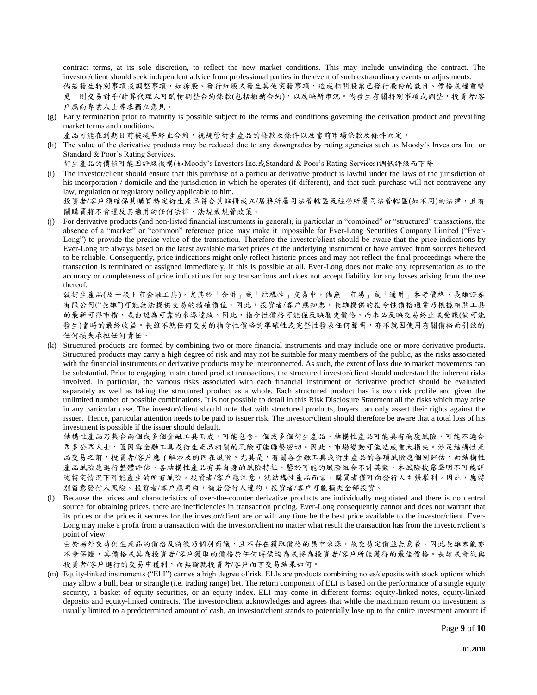contract terms, at its sole discretion, to reflect the new market conditions. This may include unwinding the contract. The investor/client should seek independent advice from professional parties in the event of such extraordinary events or adjustments.

倘若發生特別事項或調整事項,如拆股、發行紅股或發生其他突發事項,造成相關股票已發行股份的數目、價格或權重變 更,則交易對手/計算代理人可酌情調整合約條款(包括撤銷合約),以反映新市況。倘發生有關特別事項或調整,投資者/客 戶應向專業人士尋求獨立意見。

(g) Early termination prior to maturity is possible subject to the terms and conditions governing the derivation product and prevailing market terms and conditions.

產品可能在到期日前被提早終止合約,視規管衍生產品的條款及條件以及當前市場條款及條件而定。

(h) The value of the derivative products may be reduced due to any downgrades by rating agencies such as Moody's Investors Inc. or Standard & Poor's Rating Services.

衍生產品的價值可能因評級機構(如Moody's Investors Inc.或Standard & Poor's Rating Services)調低評級而下降。

(i) The investor/client should ensure that this purchase of a particular derivative product is lawful under the laws of the jurisdiction of his incorporation / domicile and the jurisdiction in which he operates (if different), and that such purchase will not contravene any law, regulation or regulatory policy applicable to him.

投資者/客戶須確保其購買特定衍生產品符合其註冊成立/居藉所屬司法管轄區及經營所屬司法管轄區(如不同)的法律,且有 關購買將不會違反其適用的任何法律、法規或規管政策。

(j) For derivative products (and non-listed financial instruments in general), in particular in "combined" or "structured" transactions, the absence of a "market" or "common" reference price may make it impossible for Ever-Long Securities Company Limited ("Ever-Long") to provide the precise value of the transaction. Therefore the investor/client should be aware that the price indications by Ever-Long are always based on the latest available market prices of the underlying instrument or have arrived from sources believed to be reliable. Consequently, price indications might only reflect historic prices and may not reflect the final proceedings where the transaction is terminated or assigned immediately, if this is possible at all. Ever-Long does not make any representation as to the accuracy or completeness of price indications for any transactions and does not accept liability for any losses arising from the use thereof.

就衍生產品(及一般上市金融工具),尤其於「合併」或「結構性」交易中,倘無「市場」或「通用」參考價格,長雄證券 有限公司("長雄")可能無法提供交易的精確價值。因此,投資者/客戶應知悉,長雄提供的指令性價格通常乃根據相關工具 的最新可得市價,或由認為可靠的來源達致。因此,指令性價格可能僅反映歷史價格,而未必反映交易終止或受讓(倘可能 發生)當時的最終收益。長雄不就任何交易的指令性價格的準確性或完整性發表任何聲明,亦不就因使用有關價格而引致的 任何損失承担任何責任。

(k) Structured products are formed by combining two or more financial instruments and may include one or more derivative products. Structured products may carry a high degree of risk and may not be suitable for many members of the public, as the risks associated with the financial instruments or derivative products may be interconnected. As such, the extent of loss due to market movements can be substantial. Prior to engaging in structured product transactions, the structured investor/client should understand the inherent risks involved. In particular, the various risks associated with each financial instrument or derivative product should be evaluated separately as well as taking the structured product as a whole. Each structured product has its own risk profile and given the unlimited number of possible combinations. It is not possible to detail in this Risk Disclosure Statement all the risks which may arise in any particular case. The investor/client should note that with structured products, buyers can only assert their rights against the issuer. Hence, particular attention needs to be paid to issuer risk. The investor/client should therefore be aware that a total loss of his investment is possible if the issuer should default.

結構性產品乃集合兩個或多個金融工具而成,可能包含一個或多個衍生產品。結構性產品可能具有高度風險,可能不適合 眾多公眾人士,蓋因與金融工具或衍生產品相關的風險可能聯繫密切。因此,市場變動可能造成重大損失。涉足結構性產 品交易之前,投資者/客戶應了解涉及的內在風險。尤其是,有關各金融工具或衍生產品的各項風險應個別評估,而結構性 產品風險應進行整體評估。各結構性產品有其自身的風險特征,鑒於可能的風險組合不計其數,本風險披露聲明不可能詳 述特定情況下可能產生的所有風險。投資者/客戶應注意,就結構性產品而言,購買者僅可向發行人主張權利。因此,應特 別留意發行人風險。投資者/客戶應明白,倘若發行人違約,投資者/客戶可能損失全部投資。

(l) Because the prices and characteristics of over-the-counter derivative products are individually negotiated and there is no central source for obtaining prices, there are inefficiencies in transaction pricing. Ever-Long consequently cannot and does not warrant that its prices or the prices it secures for the investor/client are or will any time be the best price available to the investor/client. Ever-Long may make a profit from a transaction with the investor/client no matter what result the transaction has from the investor/client's point of view.

由於場外交易衍生產品的價格及特徵乃個別商議,且不存在獲取價格的集中來源,故交易定價並無意義。因此長雄末能亦 不會保證,其價格或其為投資者/客戶獲取的價格於任何時候均為或將為投資者/客戶所能獲得的最佳價格。長雄或會從與 投資者/客戶進行的交易中獲利,而無論就投資者/客戶而言交易結果如何。

(m) Equity-linked instruments ("ELI") carries a high degree of risk. ELIs are products combining notes/deposits with stock options which may allow a bull, bear or strangle (i.e. trading range) bet. The return component of ELI is based on the performance of a single equity security, a basket of equity securities, or an equity index. ELI may come in different forms: equity-linked notes, equity-linked deposits and equity-linked contracts. The investor/client acknowledges and agrees that while the maximum return on investment is usually limited to a predetermined amount of cash, an investor/client stands to potentially lose up to the entire investment amount if

Page **9** of **10**